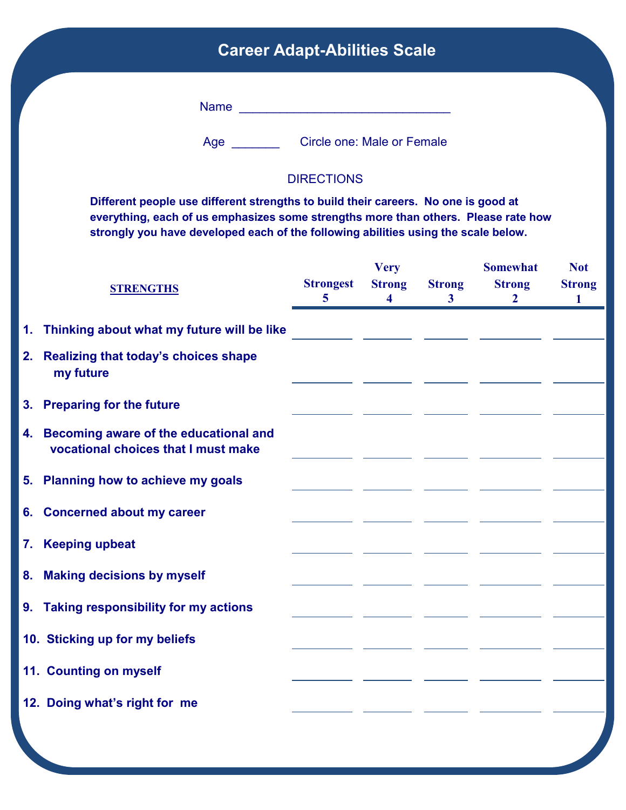## **Career Adapt-Abilities Scale**

Name \_\_\_\_\_\_\_\_\_\_\_\_\_\_\_\_\_\_\_\_\_\_\_\_\_\_\_\_\_\_\_

Age \_\_\_\_\_\_\_\_\_ Circle one: Male or Female

## **DIRECTIONS**

**Different people use different strengths to build their careers. No one is good at everything, each of us emphasizes some strengths more than others. Please rate how strongly you have developed each of the following abilities using the scale below.**

| <b>STRENGTHS</b>                                                                | <b>Strongest</b><br>$\overline{5}$ | <b>Very</b><br><b>Strong</b><br>$\overline{\mathbf{4}}$ | <b>Strong</b><br>3 <sup>1</sup> | <b>Somewhat</b><br><b>Strong</b><br>$\overline{2}$ | <b>Not</b><br><b>Strong</b><br>1 |
|---------------------------------------------------------------------------------|------------------------------------|---------------------------------------------------------|---------------------------------|----------------------------------------------------|----------------------------------|
| 1. Thinking about what my future will be like                                   |                                    |                                                         |                                 |                                                    |                                  |
| 2. Realizing that today's choices shape<br>my future                            |                                    |                                                         |                                 |                                                    |                                  |
| 3. Preparing for the future                                                     |                                    |                                                         |                                 |                                                    |                                  |
| 4. Becoming aware of the educational and<br>vocational choices that I must make |                                    |                                                         |                                 |                                                    |                                  |
| 5. Planning how to achieve my goals                                             |                                    |                                                         |                                 |                                                    |                                  |
| 6. Concerned about my career                                                    |                                    |                                                         |                                 |                                                    |                                  |
| 7. Keeping upbeat                                                               |                                    |                                                         |                                 |                                                    |                                  |
| 8. Making decisions by myself                                                   |                                    |                                                         |                                 |                                                    |                                  |
| 9. Taking responsibility for my actions                                         |                                    |                                                         |                                 |                                                    |                                  |
| 10. Sticking up for my beliefs                                                  |                                    |                                                         |                                 |                                                    |                                  |
| 11. Counting on myself                                                          |                                    |                                                         |                                 |                                                    |                                  |
| 12. Doing what's right for me                                                   |                                    |                                                         |                                 |                                                    |                                  |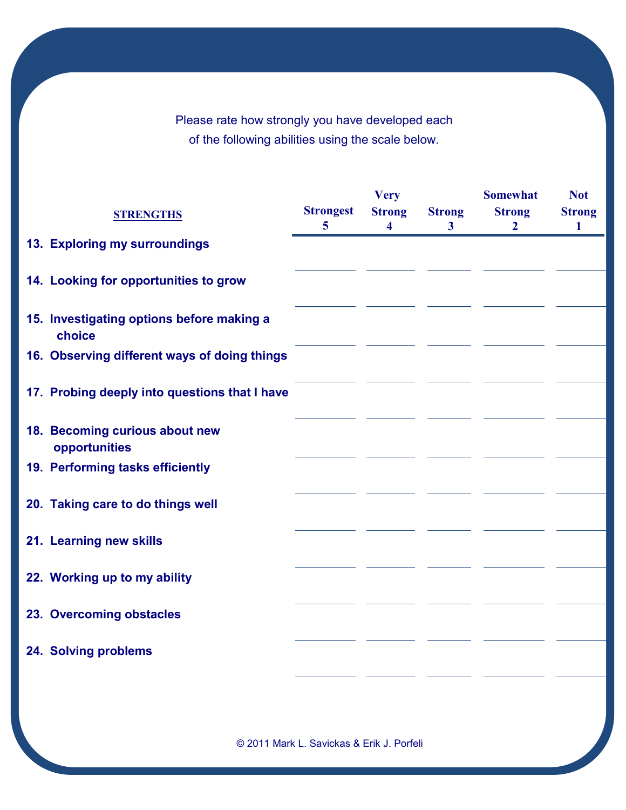Please rate how strongly you have developed each of the following abilities using the scale below.

|                                                     |                                    | <b>Very</b>                              |                               | <b>Somewhat</b>                 | <b>Not</b>                   |
|-----------------------------------------------------|------------------------------------|------------------------------------------|-------------------------------|---------------------------------|------------------------------|
| <b>STRENGTHS</b>                                    | <b>Strongest</b><br>$\overline{5}$ | <b>Strong</b><br>$\overline{\mathbf{4}}$ | <b>Strong</b><br>$\mathbf{3}$ | <b>Strong</b><br>$\overline{2}$ | <b>Strong</b><br>$\mathbf 1$ |
| 13. Exploring my surroundings                       |                                    |                                          |                               |                                 |                              |
| 14. Looking for opportunities to grow               |                                    |                                          |                               |                                 |                              |
| 15. Investigating options before making a<br>choice |                                    |                                          |                               |                                 |                              |
| 16. Observing different ways of doing things        |                                    |                                          |                               |                                 |                              |
| 17. Probing deeply into questions that I have       |                                    |                                          |                               |                                 |                              |
| 18. Becoming curious about new<br>opportunities     |                                    |                                          |                               |                                 |                              |
| 19. Performing tasks efficiently                    |                                    |                                          |                               |                                 |                              |
| 20. Taking care to do things well                   |                                    |                                          |                               |                                 |                              |
| 21. Learning new skills                             |                                    |                                          |                               |                                 |                              |
| 22. Working up to my ability                        |                                    |                                          |                               |                                 |                              |
| 23. Overcoming obstacles                            |                                    |                                          |                               |                                 |                              |
| 24. Solving problems                                |                                    |                                          |                               |                                 |                              |

© 2011 Mark L. Savickas & Erik J. Porfeli